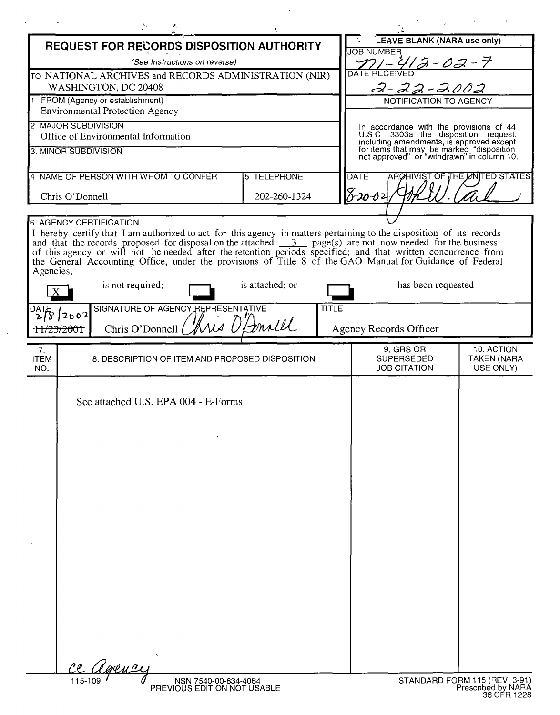| REQUEST FOR RECORDS DISPOSITION AUTHORITY                                                                                                                                                                                           |                 |              | LEAVE BLANK (NARA use only)<br><b>JOB NUMBER</b>                                                                                    |                                 |
|-------------------------------------------------------------------------------------------------------------------------------------------------------------------------------------------------------------------------------------|-----------------|--------------|-------------------------------------------------------------------------------------------------------------------------------------|---------------------------------|
| (See Instructions on reverse)                                                                                                                                                                                                       |                 |              | <u> 12-02-7</u>                                                                                                                     |                                 |
| TO NATIONAL ARCHIVES and RECORDS ADMINISTRATION (NIR)                                                                                                                                                                               |                 |              | <b>DATE RECEIVED</b>                                                                                                                |                                 |
| WASHINGTON, DC 20408                                                                                                                                                                                                                |                 |              | $2 - 22 - 2002$                                                                                                                     |                                 |
| FROM (Agency or establishment)<br><b>Environmental Protection Agency</b>                                                                                                                                                            |                 |              | NOTIFICATION TO AGENCY                                                                                                              |                                 |
| 2 MAJOR SUBDIVISION                                                                                                                                                                                                                 |                 |              |                                                                                                                                     |                                 |
| Office of Environmental Information                                                                                                                                                                                                 |                 |              | In accordance with the provisions of 44<br>U.S.C 3303a the disposition request,                                                     |                                 |
| 3. MINOR SUBDIVISION                                                                                                                                                                                                                |                 |              | including amendments, is approved except<br>for items that may be marked "disposition<br>not approved" or "withdrawn" in column 10. |                                 |
|                                                                                                                                                                                                                                     |                 |              |                                                                                                                                     |                                 |
| 4 NAME OF PERSON WITH WHOM TO CONFER<br><b>5 TELEPHONE</b>                                                                                                                                                                          |                 |              | <b>DATE</b><br><b>ARCHIVIST OF THE LANTED STATES</b>                                                                                |                                 |
| 202-260-1324<br>Chris O'Donnell                                                                                                                                                                                                     |                 |              | 8-20 <u>-02</u>                                                                                                                     |                                 |
|                                                                                                                                                                                                                                     |                 |              |                                                                                                                                     |                                 |
| 6. AGENCY CERTIFICATION                                                                                                                                                                                                             |                 |              |                                                                                                                                     |                                 |
| I hereby certify that I am authorized to act for this agency in matters pertaining to the disposition of its records<br>and that the records proposed for disposal on the attached $\frac{3}{2}$ page(s) are not now needed for the |                 |              |                                                                                                                                     |                                 |
| of this agency or will not be needed after the retention periods specified; and that written concurrence from<br>the General Accounting Office, under the provisions of Title 8 of the GAO Manual for Guidance of Federal           |                 |              |                                                                                                                                     |                                 |
| Agencies,                                                                                                                                                                                                                           |                 |              |                                                                                                                                     |                                 |
| is not required;                                                                                                                                                                                                                    | is attached; or |              | has been requested                                                                                                                  |                                 |
| SIGNATURE OF AGENCY REPRESENTATIVE                                                                                                                                                                                                  |                 | <b>TITLE</b> |                                                                                                                                     |                                 |
| DATE<br>$\sqrt{8}$ 2002                                                                                                                                                                                                             |                 |              |                                                                                                                                     |                                 |
| Chris O'Donnell<br>1 <del>1/23/200</del> 1                                                                                                                                                                                          | trall           |              | Agency Records Officer                                                                                                              |                                 |
| 7.                                                                                                                                                                                                                                  |                 |              | 9. GRS OR                                                                                                                           | 10. ACTION                      |
| <b>ITEM</b><br>8. DESCRIPTION OF ITEM AND PROPOSED DISPOSITION<br>NO.                                                                                                                                                               |                 |              | <b>SUPERSEDED</b><br><b>JOB CITATION</b>                                                                                            | <b>TAKEN (NARA</b><br>USE ONLY) |
|                                                                                                                                                                                                                                     |                 |              |                                                                                                                                     |                                 |
| See attached U.S. EPA 004 - E-Forms                                                                                                                                                                                                 |                 |              |                                                                                                                                     |                                 |
|                                                                                                                                                                                                                                     |                 |              |                                                                                                                                     |                                 |
|                                                                                                                                                                                                                                     |                 |              |                                                                                                                                     |                                 |
|                                                                                                                                                                                                                                     |                 |              |                                                                                                                                     |                                 |
|                                                                                                                                                                                                                                     |                 |              |                                                                                                                                     |                                 |
|                                                                                                                                                                                                                                     |                 |              |                                                                                                                                     |                                 |
|                                                                                                                                                                                                                                     |                 |              |                                                                                                                                     |                                 |
|                                                                                                                                                                                                                                     |                 |              |                                                                                                                                     |                                 |
|                                                                                                                                                                                                                                     |                 |              |                                                                                                                                     |                                 |
|                                                                                                                                                                                                                                     |                 |              |                                                                                                                                     |                                 |
|                                                                                                                                                                                                                                     |                 |              |                                                                                                                                     |                                 |
|                                                                                                                                                                                                                                     |                 |              |                                                                                                                                     |                                 |
|                                                                                                                                                                                                                                     |                 |              |                                                                                                                                     |                                 |
|                                                                                                                                                                                                                                     |                 |              |                                                                                                                                     |                                 |
|                                                                                                                                                                                                                                     |                 |              |                                                                                                                                     |                                 |
|                                                                                                                                                                                                                                     |                 |              |                                                                                                                                     |                                 |
|                                                                                                                                                                                                                                     |                 |              |                                                                                                                                     |                                 |
|                                                                                                                                                                                                                                     |                 |              |                                                                                                                                     |                                 |
| Parmer<br>$\ell$ e                                                                                                                                                                                                                  |                 |              |                                                                                                                                     |                                 |
| 115-109<br>NSN 7540-00-634-4064                                                                                                                                                                                                     |                 |              |                                                                                                                                     |                                 |

 $\mathcal{A}^{\mathcal{A}}$ 

 $\sim$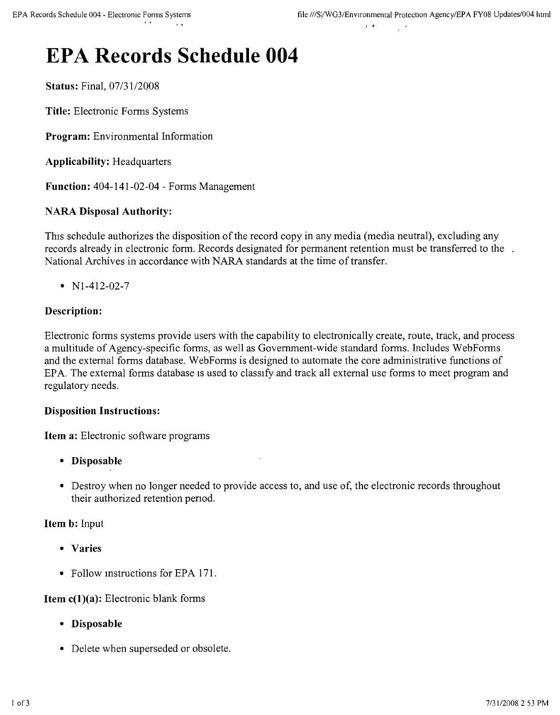# **EPA Records Schedule 004**

Status: Final, *07/3112008*

Title: Electronic Forms Systems

Program: Environmental Information

Applicability: Headquarters

Function: 404-141-02-04 - Forms Management

# NARA Disposal Authority:

This schedule authorizes the disposition of the record copy in any media (media neutral), excluding any records already in electronic form. Records designated for permanent retention must be transferred to the National Archives in accordance with NARA standards at the time of transfer.

•  $N1-412-02-7$ 

# Description:

Electronic forms systems provide users with the capability to electronically create, route, track, and process a multitude of Agency-specific forms, as well as Government-wide standard forms. Includes WebFonns and the external forms database. WebFonns is designed to automate the core administrative functions of EPA. The external forms database is used to classify and track all external use forms to meet program and regulatory needs.

#### Disposition Instructions:

Item a: Electronic software programs

- • Disposable
- Destroy when no longer needed to provide access to, and use of, the electronic records throughout their authorized retention penod.

#### Item b: Input

- • Varies
- Follow mstructions for EPA 171.

#### **Item**  $c(1)(a)$ **:** Electronic blank forms

- • Disposable
- Delete when superseded or obsolete.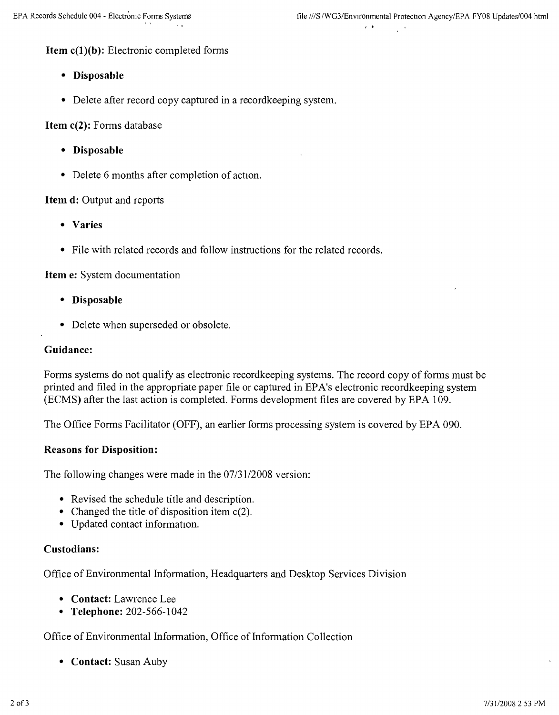# **Item c(1)(b):** Electronic completed forms

- **• Disposable**
- Delete after record copy captured in a record keeping system.

**Item c(2):** Forms database

- **• Disposable**
- Delete 6 months after completion of action.

#### **Item d:** Output and reports

- **• Varies**
- File with related records and follow instructions for the related records.

#### **Item** e: System documentation

- **• Disposable**
- Delete when superseded or obsolete.

#### **Guidance:**

Forms systems do not qualify as electronic recordkeeping systems. The record copy of forms must be printed and filed in the appropriate paper file or captured in EPA's electronic recordkeeping system (ECMS) after the last action is completed. Forms development files are covered by EPA 109.

The Office Forms Facilitator (OFF), an earlier forms processing system is covered by EPA 090.

#### **Reasons for Disposition:**

The following changes were made in the *07/3112008* version:

- Revised the schedule title and description.
- Changed the title of disposition item c(2).
- Updated contact information.

#### **Custodians:**

Office of Environmental Information, Headquarters and Desktop Services Division

- **• Contact:** Lawrence Lee
- **• Telephone:** 202-566-1042

# Office of Environmental Information, Office of Information Collection

**• Contact:** Susan Auby